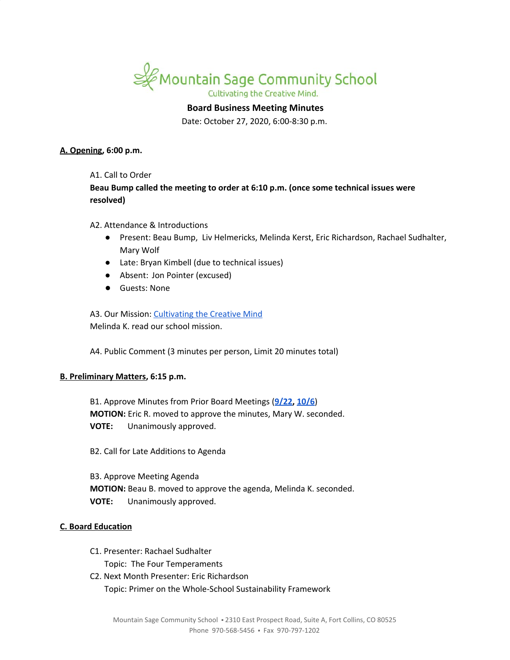

## **Board Business Meeting Minutes**

Date: October 27, 2020, 6:00-8:30 p.m.

### **A. Opening, 6:00 p.m.**

A1. Call to Order

# **Beau Bump called the meeting to order at 6:10 p.m. (once some technical issues were resolved)**

## A2. Attendance & Introductions

- Present: Beau Bump, Liv Helmericks, Melinda Kerst, Eric Richardson, Rachael Sudhalter, Mary Wolf
- Late: Bryan Kimbell (due to technical issues)
- Absent: Jon Pointer (excused)
- Guests: None

A3. Our Mission: [Cultivating](https://www.mountainsage.org/about-us/mission-and-vision/) the Creative Mind Melinda K. read our school mission.

A4. Public Comment (3 minutes per person, Limit 20 minutes total)

## **B. Preliminary Matters, 6:15 p.m.**

B1. Approve Minutes from Prior Board Meetings (**[9/22](https://docs.google.com/document/d/1tnlGn8gPijreFGdec9CQ-fB4uHNzxi6xexqM1IO5lk8/edit?usp=sharing), [10/6](https://docs.google.com/document/d/1GV8ZskgI2bc2XEodIYfkyyOig_eJvJNNJfMwqsgKWXE/edit?usp=sharing)**) **MOTION:** Eric R. moved to approve the minutes, Mary W. seconded. **VOTE:** Unanimously approved.

B2. Call for Late Additions to Agenda

B3. Approve Meeting Agenda **MOTION:** Beau B. moved to approve the agenda, Melinda K. seconded. **VOTE:** Unanimously approved.

## **C. Board Education**

- C1. Presenter: Rachael Sudhalter
	- Topic: The Four Temperaments
- C2. Next Month Presenter: Eric Richardson Topic: Primer on the Whole-School Sustainability Framework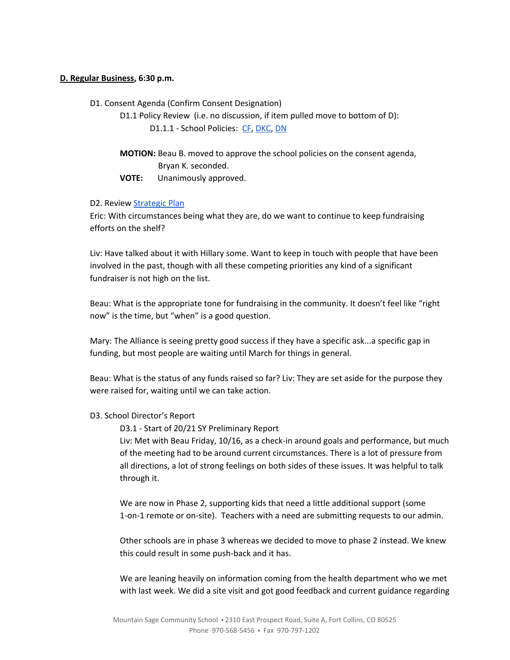## **D. Regular Business, 6:30 p.m.**

D1. Consent Agenda (Confirm Consent Designation)

D1.1 Policy Review (i.e. no discussion, if item pulled move to bottom of D): D1.1.1 - School Policies: [CF,](https://drive.google.com/open?id=1Xxv2T6bQArqSfjBd4NWvmduf7cER1CPDxfaR-UgM4ik) [DKC,](https://drive.google.com/open?id=1t0zO6vXC_h3G_EcJu1UZNcMRi75sEiSqoDYrBq8SVq4) [DN](https://drive.google.com/open?id=1W_coSYJPuJFNflUq1nr7XwSFfWkJpxueVx3ZhXcEjnM)

**MOTION:** Beau B. moved to approve the school policies on the consent agenda, Bryan K. seconded.

**VOTE:** Unanimously approved.

D2. Review [Strategic](https://docs.google.com/spreadsheets/d/1ZcsDhIjaJBoVOI2OMPaYkghgZi_yR7rn31ELgbvqf3E/view) Plan

Eric: With circumstances being what they are, do we want to continue to keep fundraising efforts on the shelf?

Liv: Have talked about it with Hillary some. Want to keep in touch with people that have been involved in the past, though with all these competing priorities any kind of a significant fundraiser is not high on the list.

Beau: What is the appropriate tone for fundraising in the community. It doesn't feel like "right now" is the time, but "when" is a good question.

Mary: The Alliance is seeing pretty good success if they have a specific ask...a specific gap in funding, but most people are waiting until March for things in general.

Beau: What is the status of any funds raised so far? Liv: They are set aside for the purpose they were raised for, waiting until we can take action.

#### D3. School Director's Report

D3.1 - Start of 20/21 SY Preliminary Report

Liv: Met with Beau Friday, 10/16, as a check-in around goals and performance, but much of the meeting had to be around current circumstances. There is a lot of pressure from all directions, a lot of strong feelings on both sides of these issues. It was helpful to talk through it.

We are now in Phase 2, supporting kids that need a little additional support (some 1-on-1 remote or on-site). Teachers with a need are submitting requests to our admin.

Other schools are in phase 3 whereas we decided to move to phase 2 instead. We knew this could result in some push-back and it has.

We are leaning heavily on information coming from the health department who we met with last week. We did a site visit and got good feedback and current guidance regarding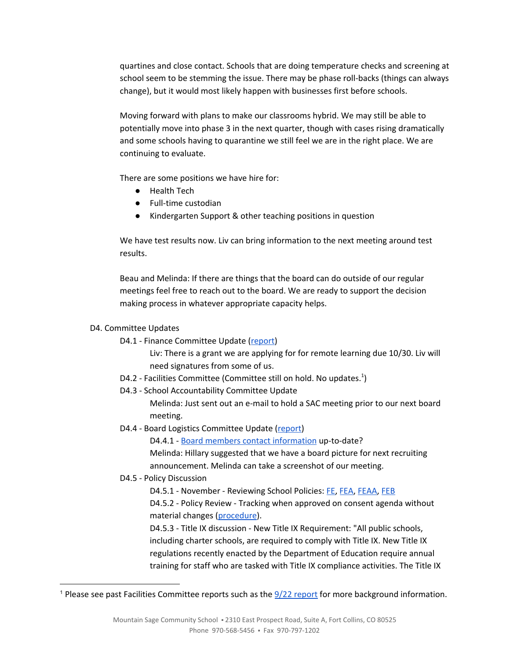quartines and close contact. Schools that are doing temperature checks and screening at school seem to be stemming the issue. There may be phase roll-backs (things can always change), but it would most likely happen with businesses first before schools.

Moving forward with plans to make our classrooms hybrid. We may still be able to potentially move into phase 3 in the next quarter, though with cases rising dramatically and some schools having to quarantine we still feel we are in the right place. We are continuing to evaluate.

There are some positions we have hire for:

- Health Tech
- Full-time custodian
- Kindergarten Support & other teaching positions in question

We have test results now. Liv can bring information to the next meeting around test results.

Beau and Melinda: If there are things that the board can do outside of our regular meetings feel free to reach out to the board. We are ready to support the decision making process in whatever appropriate capacity helps.

## D4. Committee Updates

D4.1 - Finance Committee Update ([report\)](https://docs.google.com/document/d/1fVZfuk2JLC1hMbLsv-2FDOLEfDgyLAmlF3_NT2Bmwmg/edit?usp=sharing)

Liv: There is a grant we are applying for for remote learning due 10/30. Liv will need signatures from some of us.

- D4.2 Facilities Committee (Committee still on hold. No updates.<sup>1</sup>)
- D4.3 School Accountability Committee Update Melinda: Just sent out an e-mail to hold a SAC meeting prior to our next board meeting.
- D4.4 Board Logistics Committee Update ([report\)](https://docs.google.com/document/d/1BjhnEPl62MiW1mIuyt6hB5WtXWotsEOle7XBB81oUYU/edit?usp=sharing)

D4.4.1 - Board members contact [information](https://docs.google.com/spreadsheets/d/1JMx7n0mobK7MQZG2Fxwi_Uptk6kkvUmtb7znG1WzC4A) up-to-date?

Melinda: Hillary suggested that we have a board picture for next recruiting announcement. Melinda can take a screenshot of our meeting.

# D4.5 - Policy Discussion

D4.5.1 - November - Reviewing School Policies: [FE,](https://docs.google.com/document/d/1wGxFasZ0dE6Ne5s7KRrIRO0cnZKQPnwQxOd-v52eaoo) [FEA](https://docs.google.com/document/d/1BWQWCyUn1LxwknXypc69WFyVxJ1piXju4kMvW-dwy1A), [FEAA,](https://docs.google.com/document/d/1uRyiir_G8BUEF5x6Hub_WrxYBs9m88mlTIw3E-vyM6A) [FEB](https://docs.google.com/document/d/1pThbHJkD6v6ceYmAsNUip-Nmx194ynGWcwVEx4LVGH0)

D4.5.2 - Policy Review - Tracking when approved on consent agenda without material changes [\(procedure](https://docs.google.com/document/d/1u8ShOV3kEX192OtZtSJ3ZH9IY_M6MqVyaK5HLtCC2dI)).

D4.5.3 - Title IX discussion - New Title IX Requirement: "All public schools, including charter schools, are required to comply with Title IX. New Title IX regulations recently enacted by the Department of Education require annual training for staff who are tasked with Title IX compliance activities. The Title IX

<sup>&</sup>lt;sup>1</sup> Please see past Facilities Committee [report](https://drive.google.com/file/d/1540MBFX75TZuJkqn_bNtGfqBp400VcC4/view?usp=sharing)s such as the  $\frac{9}{22}$  report for more background information.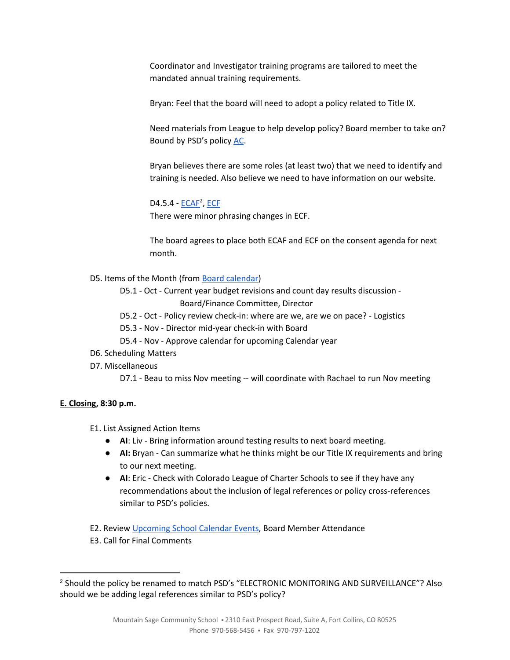Coordinator and Investigator training programs are tailored to meet the mandated annual training requirements.

Bryan: Feel that the board will need to adopt a policy related to Title IX.

Need materials from League to help develop policy? Board member to take on? Bound by PSD's policy [AC](https://www.psdschools.org/sites/default/files/PSD/policies/AC.pdf).

Bryan believes there are some roles (at least two) that we need to identify and training is needed. Also believe we need to have information on our website.

D4.5.4 - <u>[ECAF](https://drive.google.com/open?id=1rjyKgycftkPXRhtKFf8xLejHk6rv8R-17ZC49EzO8YA)</u><sup>2</sup>, <u>[ECF](https://drive.google.com/open?id=1Knkhdx0RQRhYofki-GwUS_0kGYD8ZsWaihOwWxrccWA)</u> There were minor phrasing changes in ECF.

The board agrees to place both ECAF and ECF on the consent agenda for next month.

D5. Items of the Month (from Board [calendar](https://docs.google.com/document/d/12S6s-qevYMsnj8Cr2yw6uMO7S7hL3gz2oKvXZk5ZndQ/edit?usp=sharing))

D5.1 - Oct - Current year budget revisions and count day results discussion - Board/Finance Committee, Director

D5.2 - Oct - Policy review check-in: where are we, are we on pace? - Logistics

D5.3 - Nov - Director mid-year check-in with Board

D5.4 - Nov - Approve calendar for upcoming Calendar year

- D6. Scheduling Matters
- D7. Miscellaneous

D7.1 - Beau to miss Nov meeting -- will coordinate with Rachael to run Nov meeting

# **E. Closing, 8:30 p.m.**

- E1. List Assigned Action Items
	- **AI**: Liv Bring information around testing results to next board meeting.
	- **AI:** Bryan Can summarize what he thinks might be our Title IX requirements and bring to our next meeting.
	- **AI**: Eric Check with Colorado League of Charter Schools to see if they have any recommendations about the inclusion of legal references or policy cross-references similar to PSD's policies.
- E2. Review [Upcoming](https://www.mountainsage.org/calendars/) School Calendar Events, Board Member Attendance
- E3. Call for Final Comments

<sup>2</sup> Should the policy be renamed to match PSD's "ELECTRONIC MONITORING AND SURVEILLANCE"? Also should we be adding legal references similar to PSD's policy?